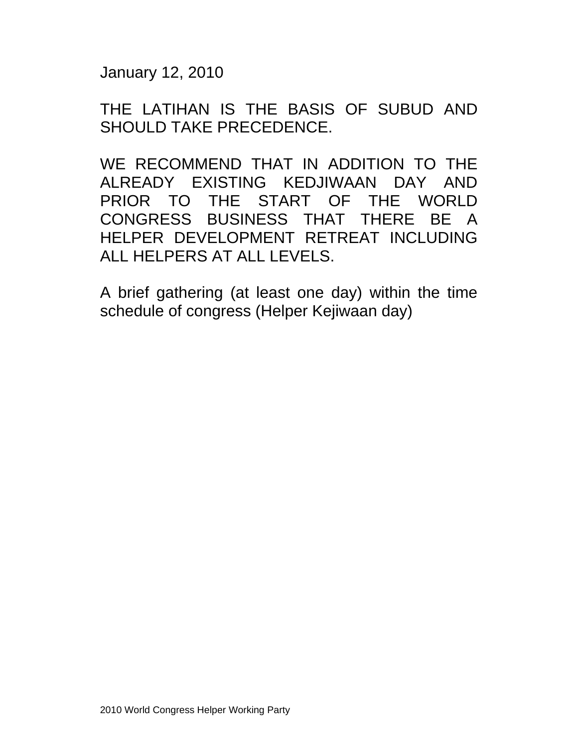January 12, 2010

THE LATIHAN IS THE BASIS OF SUBUD AND SHOULD TAKE PRECEDENCE.

WE RECOMMEND THAT IN ADDITION TO THE ALREADY EXISTING KEDJIWAAN DAY AND PRIOR TO THE START OF THE WORLD CONGRESS BUSINESS THAT THERE BE A HELPER DEVELOPMENT RETREAT INCLUDING ALL HELPERS AT ALL LEVELS.

A brief gathering (at least one day) within the time schedule of congress (Helper Kejiwaan day)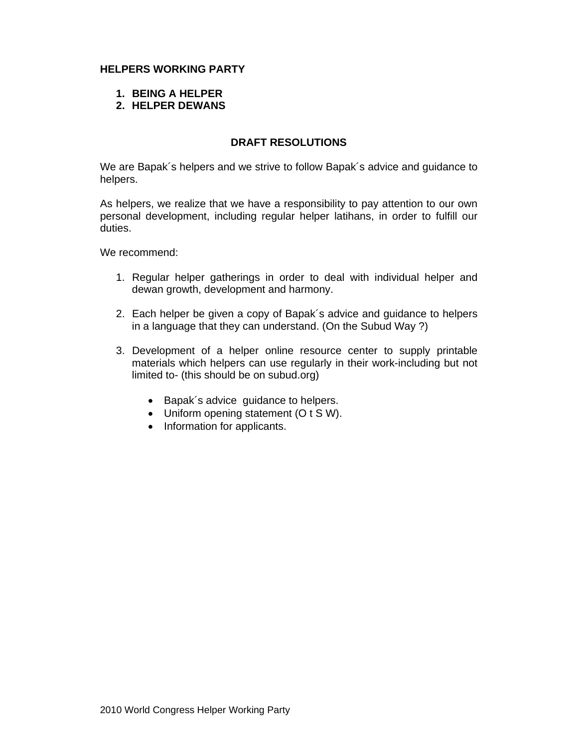# **HELPERS WORKING PARTY**

- **1. BEING A HELPER**
- **2. HELPER DEWANS**

## **DRAFT RESOLUTIONS**

We are Bapak´s helpers and we strive to follow Bapak´s advice and guidance to helpers.

As helpers, we realize that we have a responsibility to pay attention to our own personal development, including regular helper latihans, in order to fulfill our duties.

We recommend:

- 1. Regular helper gatherings in order to deal with individual helper and dewan growth, development and harmony.
- 2. Each helper be given a copy of Bapak´s advice and guidance to helpers in a language that they can understand. (On the Subud Way ?)
- 3. Development of a helper online resource center to supply printable materials which helpers can use regularly in their work-including but not limited to- (this should be on subud.org)
	- Bapak's advice quidance to helpers.
	- Uniform opening statement (O t S W).
	- Information for applicants.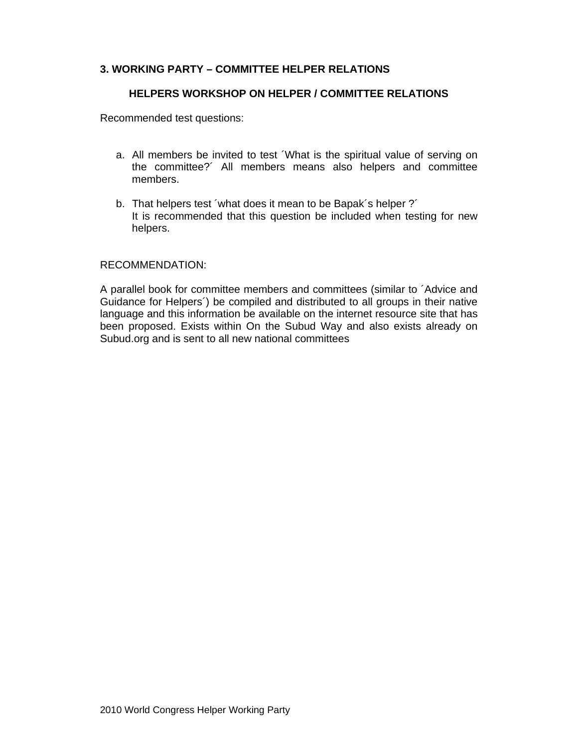# **3. WORKING PARTY – COMMITTEE HELPER RELATIONS**

### **HELPERS WORKSHOP ON HELPER / COMMITTEE RELATIONS**

Recommended test questions:

- a. All members be invited to test ´What is the spiritual value of serving on the committee?´ All members means also helpers and committee members.
- b. That helpers test 'what does it mean to be Bapak's helper ?' It is recommended that this question be included when testing for new helpers.

### RECOMMENDATION:

A parallel book for committee members and committees (similar to ´Advice and Guidance for Helpers´) be compiled and distributed to all groups in their native language and this information be available on the internet resource site that has been proposed. Exists within On the Subud Way and also exists already on Subud.org and is sent to all new national committees